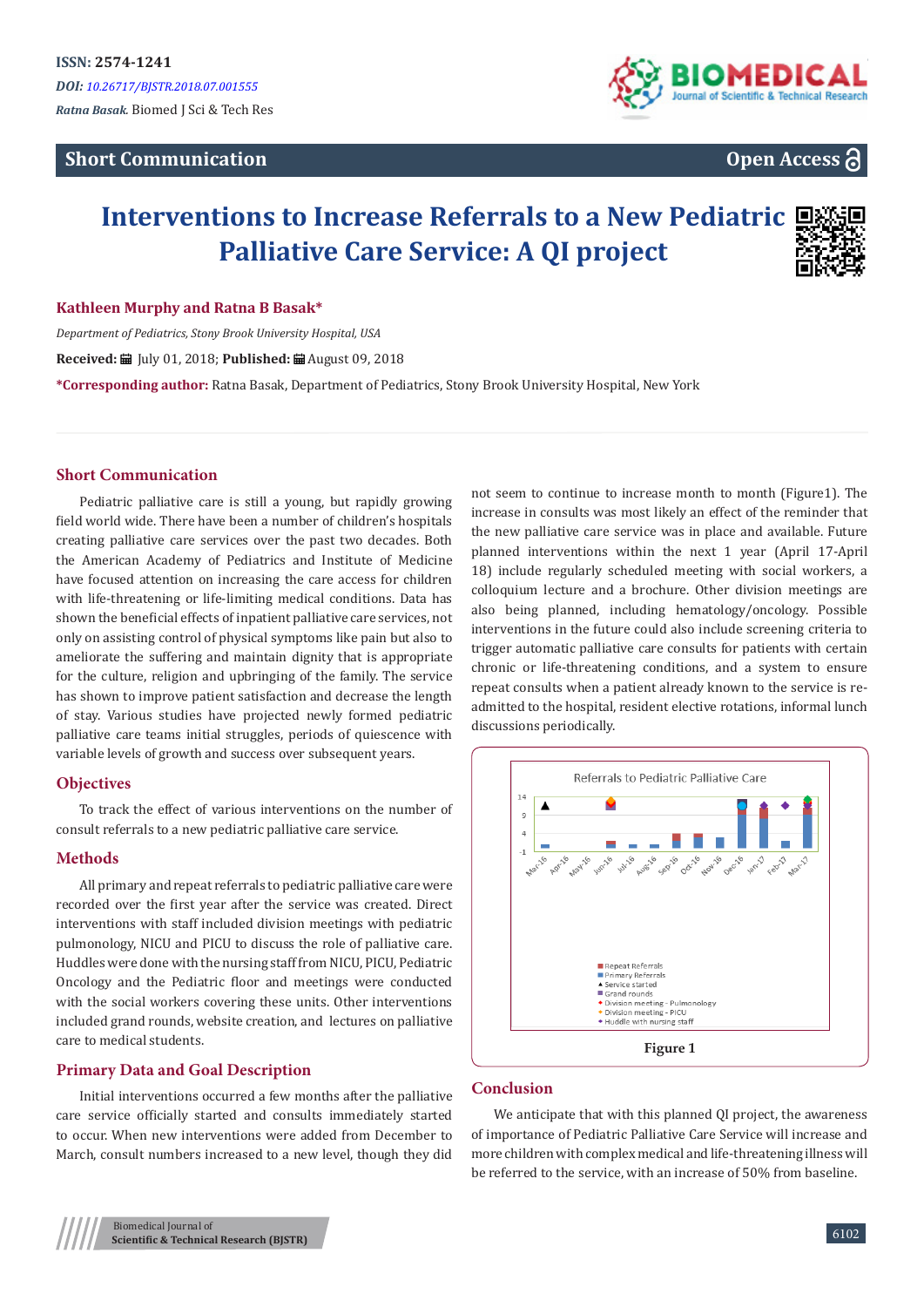# **Short Communication**



# **Open Access**

# **Interventions to Increase Referrals to a New Pediatric Palliative Care Service: A QI project**



#### **Kathleen Murphy and Ratna B Basak\***

*Department of Pediatrics, Stony Brook University Hospital, USA* **Received:** July 01, 2018; **Published:** August 09, 2018 **\*Corresponding author:** Ratna Basak, Department of Pediatrics, Stony Brook University Hospital, New York

#### **Short Communication**

Pediatric palliative care is still a young, but rapidly growing field world wide. There have been a number of children's hospitals creating palliative care services over the past two decades. Both the American Academy of Pediatrics and Institute of Medicine have focused attention on increasing the care access for children with life-threatening or life-limiting medical conditions. Data has shown the beneficial effects of inpatient palliative care services, not only on assisting control of physical symptoms like pain but also to ameliorate the suffering and maintain dignity that is appropriate for the culture, religion and upbringing of the family. The service has shown to improve patient satisfaction and decrease the length of stay. Various studies have projected newly formed pediatric palliative care teams initial struggles, periods of quiescence with variable levels of growth and success over subsequent years.

#### **Objectives**

To track the effect of various interventions on the number of consult referrals to a new pediatric palliative care service.

#### **Methods**

All primary and repeat referrals to pediatric palliative care were recorded over the first year after the service was created. Direct interventions with staff included division meetings with pediatric pulmonology, NICU and PICU to discuss the role of palliative care. Huddles were done with the nursing staff from NICU, PICU, Pediatric Oncology and the Pediatric floor and meetings were conducted with the social workers covering these units. Other interventions included grand rounds, website creation, and lectures on palliative care to medical students.

#### **Primary Data and Goal Description**

Initial interventions occurred a few months after the palliative care service officially started and consults immediately started to occur. When new interventions were added from December to March, consult numbers increased to a new level, though they did

not seem to continue to increase month to month (Figure1). The increase in consults was most likely an effect of the reminder that the new palliative care service was in place and available. Future planned interventions within the next 1 year (April 17-April 18) include regularly scheduled meeting with social workers, a colloquium lecture and a brochure. Other division meetings are also being planned, including hematology/oncology. Possible interventions in the future could also include screening criteria to trigger automatic palliative care consults for patients with certain chronic or life-threatening conditions, and a system to ensure repeat consults when a patient already known to the service is readmitted to the hospital, resident elective rotations, informal lunch discussions periodically.



#### **Conclusion**

We anticipate that with this planned QI project, the awareness of importance of Pediatric Palliative Care Service will increase and more children with complex medical and life-threatening illness will be referred to the service, with an increase of 50% from baseline.